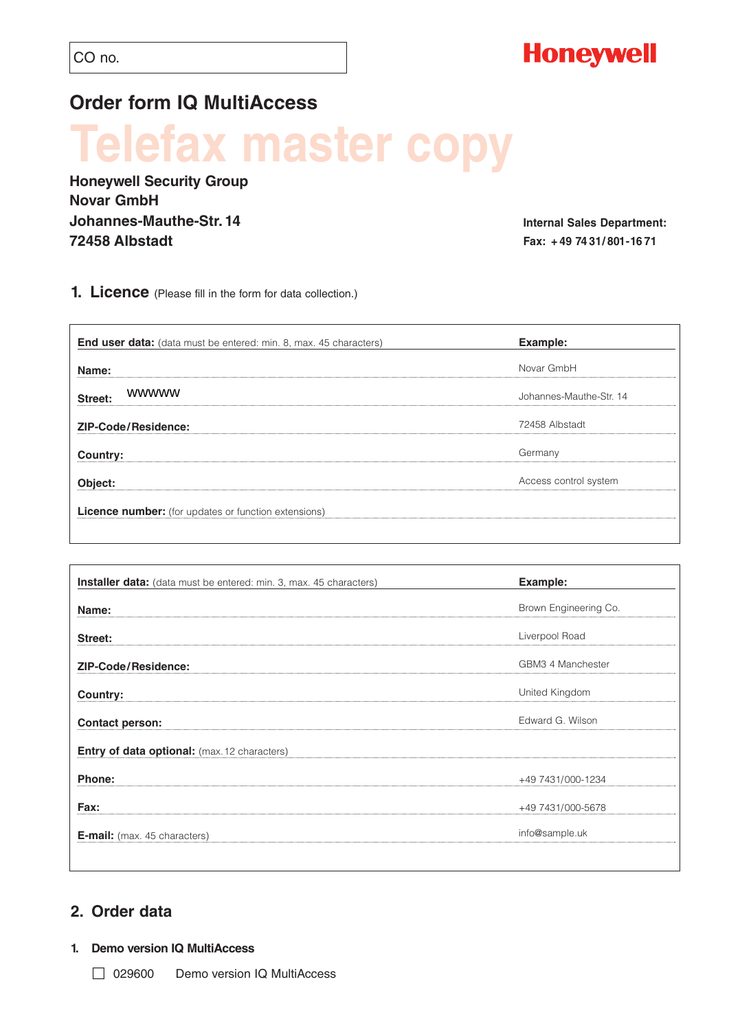### **Order form IQ MultiAccess**

# **Tefax master copy**

**Honeywell Security Group Novar GmbH Johannes-Mauthe-Str. 14 72458 Albstadt** 

**Internal Sales Department: Fax: + 49 74 31/ 801-16 71**

**1. Licence** (Please fill in the form for data collection.)

| <b>End user data:</b> (data must be entered: min. 8, max. 45 characters) | Example:                |
|--------------------------------------------------------------------------|-------------------------|
| Name:                                                                    | Novar GmbH              |
| <b>WWWWW</b><br>Street:                                                  | Johannes-Mauthe-Str. 14 |
| <b>ZIP-Code/Residence:</b>                                               | 72458 Albstadt          |
| Country:                                                                 | Germany                 |
| Object:                                                                  | Access control system   |

| Installer data: (data must be entered: min. 3, max. 45 characters) | Example:              |
|--------------------------------------------------------------------|-----------------------|
| Name:                                                              | Brown Engineering Co. |
| Street:                                                            | Liverpool Road        |
| <b>ZIP-Code/Residence:</b>                                         | GBM3 4 Manchester     |
|                                                                    | United Kingdom        |
| Country:                                                           | Edward G. Wilson      |
| <b>Contact person:</b>                                             |                       |
| <b>Entry of data optional:</b> (max. 12 characters)                |                       |
| Phone:                                                             | +49 7431/000-1234     |
| Fax:                                                               | +49 7431/000-5678     |
| <b>E-mail:</b> (max. 45 characters)                                | info@sample.uk        |
|                                                                    |                       |

### **2. Order data**

### **1. Demo version IQ MultiAccess**

□ 029600 Demo version IQ MultiAccess